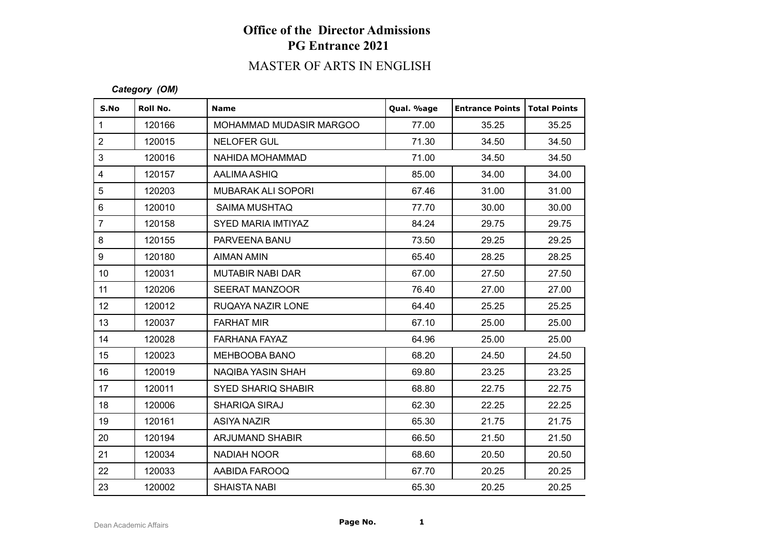# **Office of the Director Admissions PG Entrance 2021**

# MASTER OF ARTS IN ENGLISH

#### *Category (OM)*

| S.No             | Roll No. | <b>Name</b>               | Qual. %age | <b>Entrance Points   Total Points</b> |       |
|------------------|----------|---------------------------|------------|---------------------------------------|-------|
| $\mathbf{1}$     | 120166   | MOHAMMAD MUDASIR MARGOO   | 77.00      | 35.25                                 | 35.25 |
| $\overline{2}$   | 120015   | <b>NELOFER GUL</b>        | 71.30      | 34.50                                 | 34.50 |
| 3                | 120016   | NAHIDA MOHAMMAD           | 71.00      | 34.50                                 | 34.50 |
| $\overline{4}$   | 120157   | AALIMA ASHIQ              | 85.00      | 34.00                                 | 34.00 |
| $\sqrt{5}$       | 120203   | <b>MUBARAK ALI SOPORI</b> | 67.46      | 31.00                                 | 31.00 |
| $\,6\,$          | 120010   | SAIMA MUSHTAQ             | 77.70      | 30.00                                 | 30.00 |
| $\overline{7}$   | 120158   | SYED MARIA IMTIYAZ        | 84.24      | 29.75                                 | 29.75 |
| $\bf 8$          | 120155   | PARVEENA BANU             | 73.50      | 29.25                                 | 29.25 |
| $\boldsymbol{9}$ | 120180   | AIMAN AMIN                | 65.40      | 28.25                                 | 28.25 |
| 10 <sup>°</sup>  | 120031   | <b>MUTABIR NABI DAR</b>   | 67.00      | 27.50                                 | 27.50 |
| 11               | 120206   | <b>SEERAT MANZOOR</b>     | 76.40      | 27.00                                 | 27.00 |
| 12               | 120012   | RUQAYA NAZIR LONE         | 64.40      | 25.25                                 | 25.25 |
| 13               | 120037   | <b>FARHAT MIR</b>         | 67.10      | 25.00                                 | 25.00 |
| 14               | 120028   | <b>FARHANA FAYAZ</b>      | 64.96      | 25.00                                 | 25.00 |
| 15 <sub>15</sub> | 120023   | <b>MEHBOOBA BANO</b>      | 68.20      | 24.50                                 | 24.50 |
| 16               | 120019   | NAQIBA YASIN SHAH         | 69.80      | 23.25                                 | 23.25 |
| 17               | 120011   | <b>SYED SHARIQ SHABIR</b> | 68.80      | 22.75                                 | 22.75 |
| 18               | 120006   | SHARIQA SIRAJ             | 62.30      | 22.25                                 | 22.25 |
| 19               | 120161   | <b>ASIYA NAZIR</b>        | 65.30      | 21.75                                 | 21.75 |
| 20               | 120194   | <b>ARJUMAND SHABIR</b>    | 66.50      | 21.50                                 | 21.50 |
| 21               | 120034   | <b>NADIAH NOOR</b>        | 68.60      | 20.50                                 | 20.50 |
| 22               | 120033   | AABIDA FAROOQ             | 67.70      | 20.25                                 | 20.25 |
| 23               | 120002   | <b>SHAISTA NABI</b>       | 65.30      | 20.25                                 | 20.25 |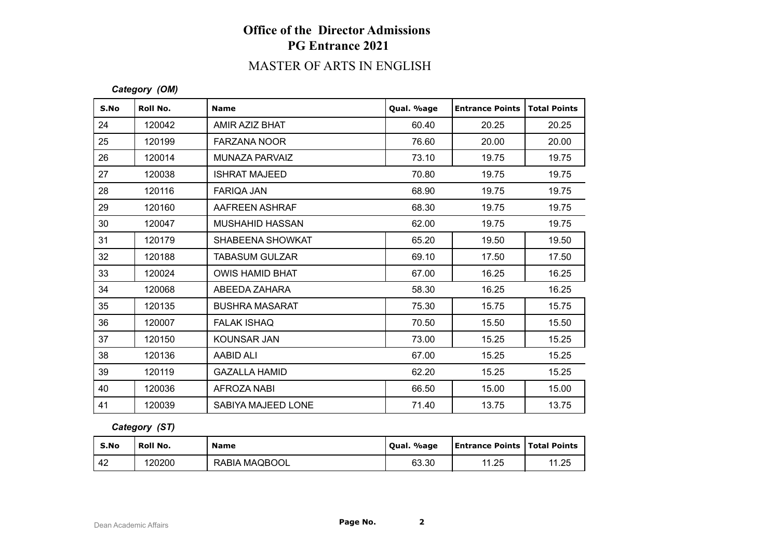# **Office of the Director Admissions PG Entrance 2021**

### MASTER OF ARTS IN ENGLISH

### *Category (OM)*

| S.No | Roll No. | <b>Name</b>            | Qual. %age | <b>Entrance Points</b> | <b>Total Points</b> |
|------|----------|------------------------|------------|------------------------|---------------------|
| 24   | 120042   | AMIR AZIZ BHAT         | 60.40      | 20.25                  | 20.25               |
| 25   | 120199   | <b>FARZANA NOOR</b>    | 76.60      | 20.00                  | 20.00               |
| 26   | 120014   | MUNAZA PARVAIZ         | 73.10      | 19.75                  | 19.75               |
| 27   | 120038   | <b>ISHRAT MAJEED</b>   | 70.80      | 19.75                  | 19.75               |
| 28   | 120116   | <b>FARIOA JAN</b>      | 68.90      | 19.75                  | 19.75               |
| 29   | 120160   | AAFREEN ASHRAF         | 68.30      | 19.75                  | 19.75               |
| 30   | 120047   | <b>MUSHAHID HASSAN</b> | 62.00      | 19.75                  | 19.75               |
| 31   | 120179   | SHABEENA SHOWKAT       | 65.20      | 19.50                  | 19.50               |
| 32   | 120188   | <b>TABASUM GULZAR</b>  | 69.10      | 17.50                  | 17.50               |
| 33   | 120024   | <b>OWIS HAMID BHAT</b> | 67.00      | 16.25                  | 16.25               |
| 34   | 120068   | ABEEDA ZAHARA          | 58.30      | 16.25                  | 16.25               |
| 35   | 120135   | <b>BUSHRA MASARAT</b>  | 75.30      | 15.75                  | 15.75               |
| 36   | 120007   | <b>FALAK ISHAQ</b>     | 70.50      | 15.50                  | 15.50               |
| 37   | 120150   | <b>KOUNSAR JAN</b>     | 73.00      | 15.25                  | 15.25               |
| 38   | 120136   | AABID ALI              | 67.00      | 15.25                  | 15.25               |
| 39   | 120119   | <b>GAZALLA HAMID</b>   | 62.20      | 15.25                  | 15.25               |
| 40   | 120036   | AFROZA NABI            | 66.50      | 15.00                  | 15.00               |
| 41   | 120039   | SABIYA MAJEED LONE     | 71.40      | 13.75                  | 13.75               |

*Category (ST)*

| S.No | Roll No. | <b>Name</b>   | Qual. %age | <b>Entrance Points   Total Points</b> |            |
|------|----------|---------------|------------|---------------------------------------|------------|
| 42   | 120200   | RABIA MAQBOOL | 63.30      | 11.25                                 | 1.25<br>44 |